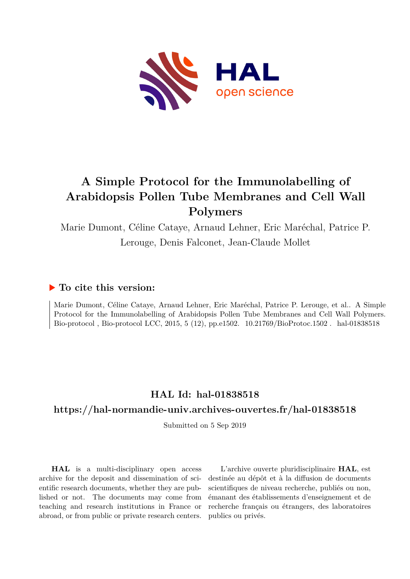

# **A Simple Protocol for the Immunolabelling of Arabidopsis Pollen Tube Membranes and Cell Wall Polymers**

Marie Dumont, Céline Cataye, Arnaud Lehner, Eric Maréchal, Patrice P. Lerouge, Denis Falconet, Jean-Claude Mollet

## **To cite this version:**

Marie Dumont, Céline Cataye, Arnaud Lehner, Eric Maréchal, Patrice P. Lerouge, et al.. A Simple Protocol for the Immunolabelling of Arabidopsis Pollen Tube Membranes and Cell Wall Polymers. Bio-protocol, Bio-protocol LCC, 2015, 5 (12), pp.e1502.  $10.21769/Bi0Protoc.1502$ . hal-01838518

## **HAL Id: hal-01838518**

## **<https://hal-normandie-univ.archives-ouvertes.fr/hal-01838518>**

Submitted on 5 Sep 2019

**HAL** is a multi-disciplinary open access archive for the deposit and dissemination of scientific research documents, whether they are published or not. The documents may come from teaching and research institutions in France or abroad, or from public or private research centers.

L'archive ouverte pluridisciplinaire **HAL**, est destinée au dépôt et à la diffusion de documents scientifiques de niveau recherche, publiés ou non, émanant des établissements d'enseignement et de recherche français ou étrangers, des laboratoires publics ou privés.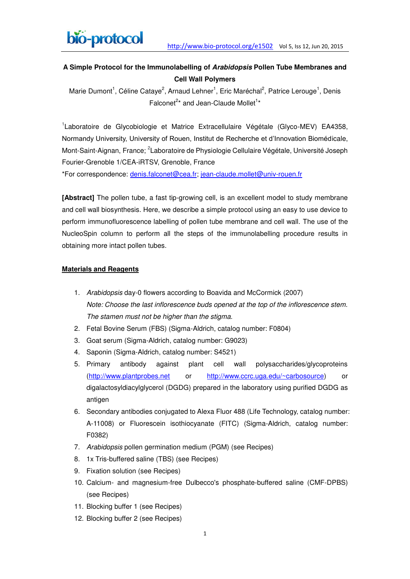

### **A Simple Protocol for the Immunolabelling of** *Arabidopsis* **Pollen Tube Membranes and Cell Wall Polymers**

Marie Dumont<sup>1</sup>, Céline Cataye<sup>2</sup>, Arnaud Lehner<sup>1</sup>, Eric Maréchal<sup>2</sup>, Patrice Lerouge<sup>1</sup>, Denis Falconet<sup>2\*</sup> and Jean-Claude Mollet<sup>1\*</sup>

<sup>1</sup> Laboratoire de Glycobiologie et Matrice Extracellulaire Végétale (Glyco-MEV) EA4358, Normandy University, University of Rouen, Institut de Recherche et d'Innovation Biomédicale, Mont-Saint-Aignan, France; <sup>2</sup>Laboratoire de Physiologie Cellulaire Végétale, Université Joseph Fourier-Grenoble 1/CEA-iRTSV, Grenoble, France

\*For correspondence: [denis.falconet@cea.fr;](mailto:denis.falconet@cea.fr) [jean-claude.mollet@univ-rouen.fr](mailto:jean-claude.mollet@univ-rouen.fr)

**[Abstract]** The pollen tube, a fast tip-growing cell, is an excellent model to study membrane and cell wall biosynthesis. Here, we describe a simple protocol using an easy to use device to perform immunofluorescence labelling of pollen tube membrane and cell wall. The use of the NucleoSpin column to perform all the steps of the immunolabelling procedure results in obtaining more intact pollen tubes.

#### **Materials and Reagents**

- 1. *Arabidopsis* day-0 flowers according to Boavida and McCormick (2007) *Note: Choose the last inflorescence buds opened at the top of the inflorescence stem. The stamen must not be higher than the stigma.*
- 2. Fetal Bovine Serum (FBS) (Sigma-Aldrich, catalog number: F0804)
- 3. Goat serum (Sigma-Aldrich, catalog number: G9023)
- 4. Saponin (Sigma-Aldrich, catalog number: S4521)
- 5. Primary antibody against plant cell wall polysaccharides/glycoproteins [\(http://www.plantprobes.net](http://www.plantprobes.net/) or [http://www.ccrc.uga.edu/~carbosource\)](http://www.ccrc.uga.edu/~carbosource) or digalactosyldiacylglycerol (DGDG) prepared in the laboratory using purified DGDG as antigen
- 6. Secondary antibodies conjugated to Alexa Fluor 488 (Life Technology, catalog number: A-11008) or Fluorescein isothiocyanate (FITC) (Sigma-Aldrich, catalog number: F0382)
- 7. *Arabidopsis* pollen germination medium (PGM) (see Recipes)
- 8. 1x Tris-buffered saline (TBS) (see Recipes)
- 9. Fixation solution (see Recipes)
- 10. Calcium- and magnesium-free Dulbecco's phosphate-buffered saline (CMF-DPBS) (see Recipes)
- 11. Blocking buffer 1 (see Recipes)
- 12. Blocking buffer 2 (see Recipes)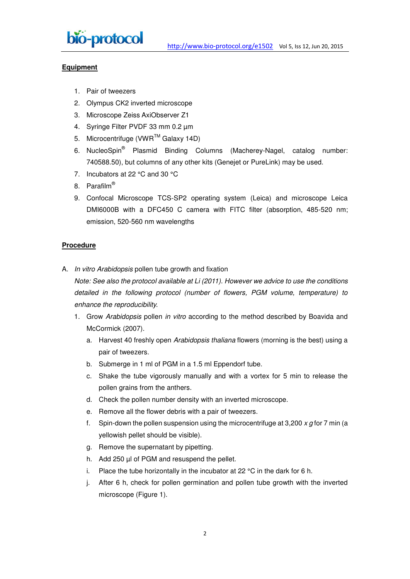

#### **Equipment**

- 1. Pair of tweezers
- 2. Olympus CK2 inverted microscope
- 3. Microscope Zeiss AxiObserver Z1
- 4. Syringe Filter PVDF 33 mm 0.2 µm
- 5. Microcentrifuge (VWR™ Galaxy 14D)
- 6. NucleoSpin<sup>®</sup> Plasmid Binding Columns (Macherey-Nagel, catalog number: 740588.50), but columns of any other kits (Genejet or PureLink) may be used.
- 7. Incubators at 22 °C and 30 °C
- 8. Parafilm®
- 9. Confocal Microscope TCS-SP2 operating system (Leica) and microscope Leica DMI6000B with a DFC450 C camera with FITC filter (absorption, 485-520 nm; emission, 520-560 nm wavelengths

#### **Procedure**

A. *In vitro Arabidopsis* pollen tube growth and fixation

*Note: See also the protocol available at Li (2011). However we advice to use the conditions detailed in the following protocol (number of flowers, PGM volume, temperature) to enhance the reproducibility.*

- 1. Grow *Arabidopsis* pollen *in vitro* according to the method described by Boavida and McCormick (2007).
	- a. Harvest 40 freshly open *Arabidopsis thaliana* flowers (morning is the best) using a pair of tweezers.
	- b. Submerge in 1 ml of PGM in a 1.5 ml Eppendorf tube.
	- c. Shake the tube vigorously manually and with a vortex for 5 min to release the pollen grains from the anthers.
	- d. Check the pollen number density with an inverted microscope.
	- e. Remove all the flower debris with a pair of tweezers.
	- f. Spin-down the pollen suspension using the microcentrifuge at 3,200 *x g* for 7 min (a yellowish pellet should be visible).
	- g. Remove the supernatant by pipetting.
	- h. Add 250 µl of PGM and resuspend the pellet.
	- i. Place the tube horizontally in the incubator at 22  $^{\circ}$ C in the dark for 6 h.
	- j. After 6 h, check for pollen germination and pollen tube growth with the inverted microscope (Figure 1).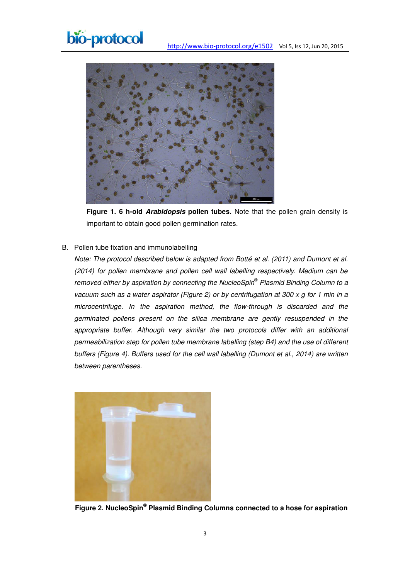



**Figure 1. 6 h-old** *Arabidopsis* **pollen tubes.** Note that the pollen grain density is important to obtain good pollen germination rates.

#### B. Pollen tube fixation and immunolabelling

*Note: The protocol described below is adapted from Botté et al. (2011) and Dumont et al. (2014) for pollen membrane and pollen cell wall labelling respectively. Medium can be removed either by aspiration by connecting the NucleoSpin® Plasmid Binding Column to a vacuum such as a water aspirator (Figure 2) or by centrifugation at 300 x g for 1 min in a microcentrifuge. In the aspiration method, the flow-through is discarded and the germinated pollens present on the silica membrane are gently resuspended in the appropriate buffer*. *Although very similar the two protocols differ with an additional permeabilization step for pollen tube membrane labelling (step B4) and the use of different buffers (Figure 4). Buffers used for the cell wall labelling (Dumont et al., 2014) are written between parentheses.* 



**Figure 2. NucleoSpin® Plasmid Binding Columns connected to a hose for aspiration**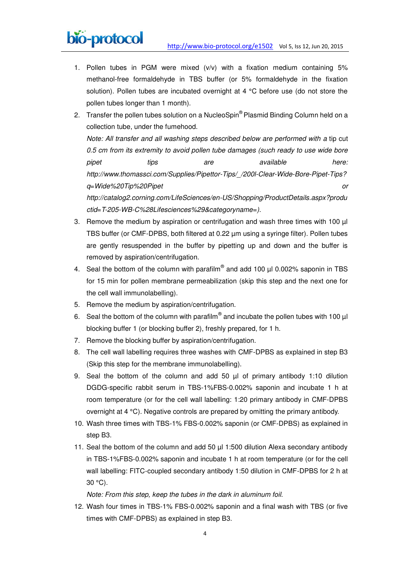

- 1. Pollen tubes in PGM were mixed (v/v) with a fixation medium containing 5% methanol-free formaldehyde in TBS buffer (or 5% formaldehyde in the fixation solution). Pollen tubes are incubated overnight at 4 °C before use (do not store the pollen tubes longer than 1 month).
- 2. Transfer the pollen tubes solution on a NucleoSpin® Plasmid Binding Column held on a collection tube, under the fumehood. *Note: All transfer and all washing steps described below are performed with a* tip cut *0.5 cm from its extremity to avoid pollen tube damages (such ready to use wide bore pipet tips are available here: [http://www.thomassci.com/Supplies/Pipettor-Tips/\\_/200l-Clear-Wide-Bore-Pipet-Tips?](http://www.thomassci.com/Supplies/Pipettor-Tips/_/200l-Clear-Wide-Bore-Pipet-Tips?q=Wide%20Tip%20Pipet) [q=Wide%20Tip%20Pipet](http://www.thomassci.com/Supplies/Pipettor-Tips/_/200l-Clear-Wide-Bore-Pipet-Tips?q=Wide%20Tip%20Pipet) or [http://catalog2.corning.com/LifeSciences/en-US/Shopping/ProductDetails.aspx?produ](http://catalog2.corning.com/LifeSciences/en-US/Shopping/ProductDetails.aspx?productid=T-205-WB-C%28Lifesciences%29&categoryname)*

*[ctid=T-205-WB-C%28Lifesciences%29&categoryname=](http://catalog2.corning.com/LifeSciences/en-US/Shopping/ProductDetails.aspx?productid=T-205-WB-C%28Lifesciences%29&categoryname)).* 

- 3. Remove the medium by aspiration or centrifugation and wash three times with 100  $\mu$ TBS buffer (or CMF-DPBS, both filtered at 0.22 µm using a syringe filter). Pollen tubes are gently resuspended in the buffer by pipetting up and down and the buffer is removed by aspiration/centrifugation.
- 4. Seal the bottom of the column with parafilm<sup>®</sup> and add 100  $\mu$ l 0.002% saponin in TBS for 15 min for pollen membrane permeabilization (skip this step and the next one for the cell wall immunolabelling).
- 5. Remove the medium by aspiration/centrifugation.
- 6. Seal the bottom of the column with parafilm® and incubate the pollen tubes with 100  $\mu$ l blocking buffer 1 (or blocking buffer 2), freshly prepared, for 1 h.
- 7. Remove the blocking buffer by aspiration/centrifugation.
- 8. The cell wall labelling requires three washes with CMF-DPBS as explained in step B3 (Skip this step for the membrane immunolabelling).
- 9. Seal the bottom of the column and add 50  $\mu$ l of primary antibody 1:10 dilution DGDG-specific rabbit serum in TBS-1%FBS-0.002% saponin and incubate 1 h at room temperature (or for the cell wall labelling: 1:20 primary antibody in CMF-DPBS overnight at 4 °C). Negative controls are prepared by omitting the primary antibody.
- 10. Wash three times with TBS-1% FBS-0.002% saponin (or CMF-DPBS) as explained in step B3.
- 11. Seal the bottom of the column and add 50  $\mu$ l 1:500 dilution Alexa secondary antibody in TBS-1%FBS-0.002% saponin and incubate 1 h at room temperature (or for the cell wall labelling: FITC-coupled secondary antibody 1:50 dilution in CMF-DPBS for 2 h at 30 °C).

*Note: From this step, keep the tubes in the dark in aluminum foil.* 

12. Wash four times in TBS-1% FBS-0.002% saponin and a final wash with TBS (or five times with CMF-DPBS) as explained in step B3.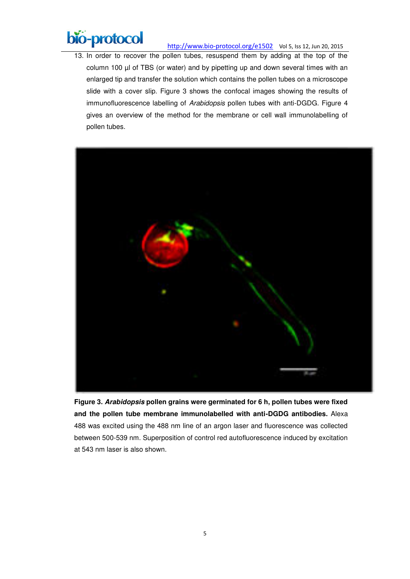

13. In order to recover the pollen tubes, resuspend them by adding at the top of the column 100 µl of TBS (or water) and by pipetting up and down several times with an enlarged tip and transfer the solution which contains the pollen tubes on a microscope slide with a cover slip. Figure 3 shows the confocal images showing the results of immunofluorescence labelling of *Arabidopsis* pollen tubes with anti-DGDG. Figure 4 gives an overview of the method for the membrane or cell wall immunolabelling of pollen tubes.



**Figure 3.** *Arabidopsis* **pollen grains were germinated for 6 h, pollen tubes were fixed and the pollen tube membrane immunolabelled with anti-DGDG antibodies.** Alexa 488 was excited using the 488 nm line of an argon laser and fluorescence was collected between 500-539 nm. Superposition of control red autofluorescence induced by excitation at 543 nm laser is also shown.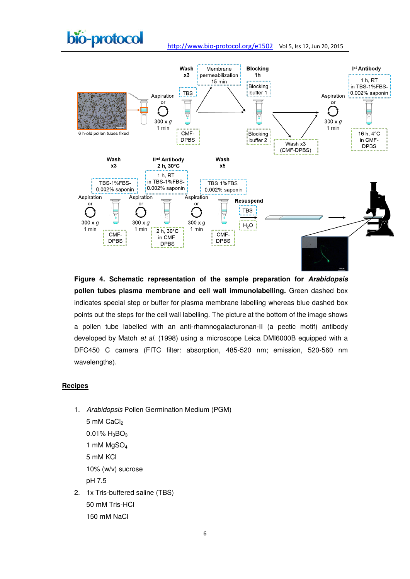



**Figure 4. Schematic representation of the sample preparation for** *Arabidopsis* **pollen tubes plasma membrane and cell wall immunolabelling.** Green dashed box indicates special step or buffer for plasma membrane labelling whereas blue dashed box points out the steps for the cell wall labelling. The picture at the bottom of the image shows a pollen tube labelled with an anti-rhamnogalacturonan-II (a pectic motif) antibody developed by Matoh *et al.* (1998) using a microscope Leica DMI6000B equipped with a DFC450 C camera (FITC filter: absorption, 485-520 nm; emission, 520-560 nm wavelengths).

#### **Recipes**

- 1. *Arabidopsis* Pollen Germination Medium (PGM) 5 mM CaCl<sub>2</sub>  $0.01\%$  H<sub>3</sub>BO<sub>3</sub> 1 mM MgSO<sup>4</sup> 5 mM KCl 10% (w/v) sucrose pH 7.5
- 2. 1x Tris-buffered saline (TBS) 50 mM Tris-HCl 150 mM NaCl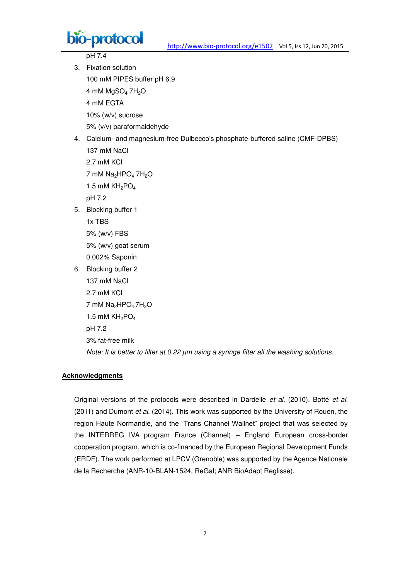

pH 7.4

- 3. Fixation solution 100 mM PIPES buffer pH 6.9 4 mM  $MgSO<sub>4</sub> 7H<sub>2</sub>O$ 4 mM EGTA 10% (w/v) sucrose 5% (v/v) paraformaldehyde 4. Calcium- and magnesium-free Dulbecco's phosphate-buffered saline (CMF-DPBS) 137 mM NaCl
	- 2.7 mM KCl

7 mM  $Na<sub>2</sub>HPO<sub>4</sub> 7H<sub>2</sub>O$ 

1.5 mM  $KH<sub>2</sub>PO<sub>4</sub>$ 

pH 7.2

5. Blocking buffer 1

1x TBS

5% (w/v) FBS 5% (w/v) goat serum

- 0.002% Saponin
- 6. Blocking buffer 2 137 mM NaCl 2.7 mM KCl 7 mM  $Na<sub>2</sub>HPO<sub>4</sub> 7H<sub>2</sub>O$ 1.5 mM  $KH<sub>2</sub>PO<sub>4</sub>$ pH 7.2

3% fat-free milk

*Note: It is better to filter at 0.22 µm using a syringe filter all the washing solutions.*

#### **Acknowledgments**

Original versions of the protocols were described in Dardelle *et al.* (2010), Botté *et al.* (2011) and Dumont *et al.* (2014). This work was supported by the University of Rouen, the region Haute Normandie, and the "Trans Channel Wallnet" project that was selected by the INTERREG IVA program France (Channel) – England European cross-border cooperation program, which is co-financed by the European Regional Development Funds (ERDF). The work performed at LPCV (Grenoble) was supported by the Agence Nationale de la Recherche (ANR-10-BLAN-1524, ReGal; ANR BioAdapt Reglisse).